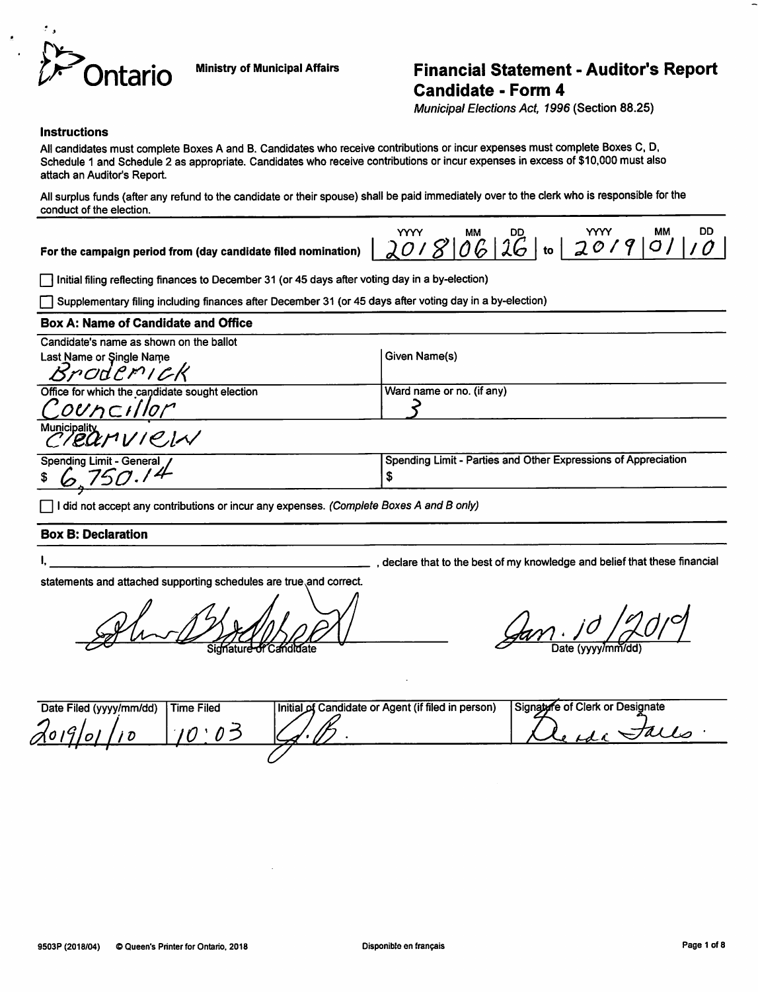

# Ministry of Municipal Affairs **Financial Statement - Auditor's Report** Candidate - Form 4

Municipal Elections Act, 1996 (Section 88.25)

#### **Instructions**

All candidates must complete Boxes A and B. Candidates who receive contributions or incur expenses must complete Boxes C, D, Schedule 1 and Schedule 2 as appropriate. Candidates who receive contributions or incur expenses in excess of \$10,000 must also attach an Auditor's Report.

All surplus funds (after any refund to the candidate or their spouse) shall be paid immediately over to the clerk who is responsible for the conduct of the election.

For the campaign period from (day candidate filed nomination)

|                                  |  |  | MM. |  |
|----------------------------------|--|--|-----|--|
| $ 2018 06 16 $ to $ 2019 01 10 $ |  |  |     |  |

|~| Initial filing reflecting finances to December 31 (or 45 days after voting day in a by-election)

Supplementary filing including finances after December 31 (or 45 days after voting day in a by-election)

#### Box A: Name of Candidate and Office

| Given Name(s)             |
|---------------------------|
|                           |
| (Ward name or no. (if any |
|                           |
|                           |

Municipality<br>C/20  $\mu$   $\mu$   $\beta$   $\gamma$ Spending Limit - General / Spending Limit - Parties and Other Expressions of Appreciation

\$

declare that to the best of my knowledge and belief that these financial

I did not accept any contributions or incur any expenses. (Complete Boxes A and B only)

### Box 8: Declaration

| ı |   |  |
|---|---|--|
|   | × |  |

statements and attached supporting schedules are true.and correct.

 $\cancel{\mathcal{G}}$ an.  $\cancel{0}$ 

| Date Filed (yyyy/mm/dd) | Time Filed | Initial of Candidate or Agent (if filed in person) | Signature of Clerk or Designate |
|-------------------------|------------|----------------------------------------------------|---------------------------------|
| $A$ 019/01/10           |            |                                                    |                                 |
|                         |            |                                                    |                                 |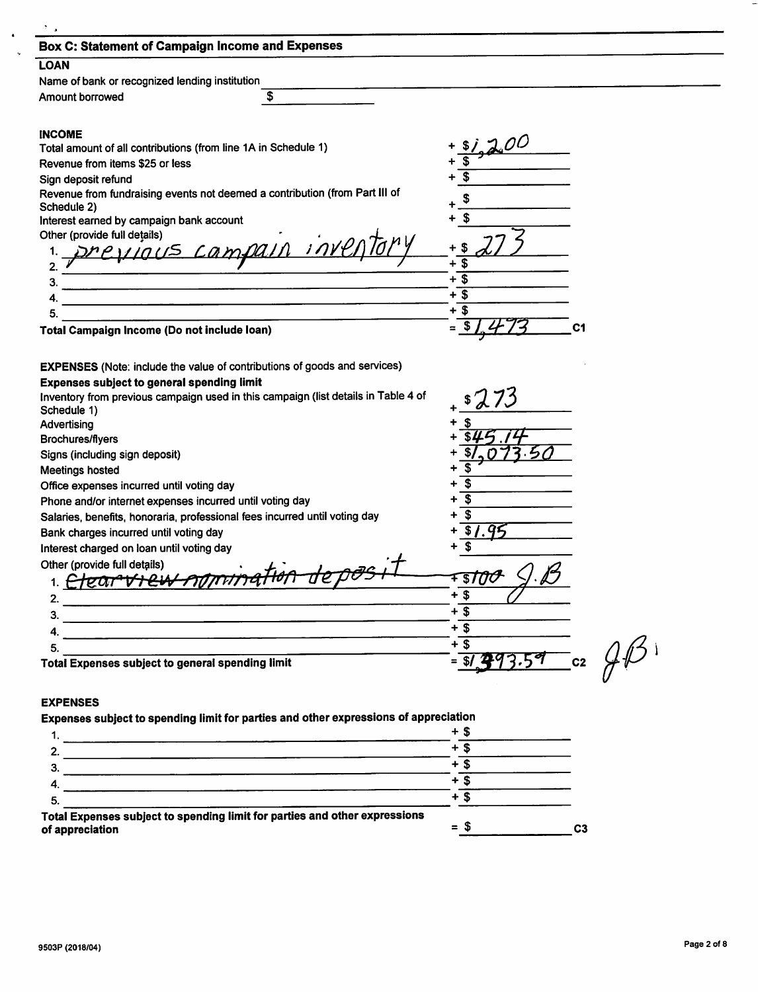| <b>Box C: Statement of Campaign Income and Expenses</b>                              |                                               |
|--------------------------------------------------------------------------------------|-----------------------------------------------|
| <b>LOAN</b>                                                                          |                                               |
| Name of bank or recognized lending institution                                       |                                               |
| \$<br>Amount borrowed                                                                |                                               |
|                                                                                      |                                               |
| <b>INCOME</b>                                                                        |                                               |
| Total amount of all contributions (from line 1A in Schedule 1)                       |                                               |
| Revenue from items \$25 or less                                                      |                                               |
| Sign deposit refund                                                                  |                                               |
| Revenue from fundraising events not deemed a contribution (from Part III of          | \$                                            |
| Schedule 2)<br>Interest earned by campaign bank account                              | S                                             |
| Other (provide full details)                                                         |                                               |
|                                                                                      |                                               |
| 2.                                                                                   | + \$                                          |
| 3.                                                                                   | $+\overline{\$}$                              |
| 4                                                                                    | + \$                                          |
| 5.                                                                                   | + \$                                          |
| Total Campaign Income (Do not include loan)                                          | C1                                            |
|                                                                                      |                                               |
| <b>EXPENSES</b> (Note: include the value of contributions of goods and services)     |                                               |
| <b>Expenses subject to general spending limit</b>                                    |                                               |
| Inventory from previous campaign used in this campaign (list details in Table 4 of   |                                               |
| Schedule 1)                                                                          |                                               |
| Advertising                                                                          |                                               |
| <b>Brochures/flyers</b>                                                              |                                               |
| Signs (including sign deposit)                                                       |                                               |
| <b>Meetings hosted</b>                                                               |                                               |
| Office expenses incurred until voting day                                            |                                               |
| Phone and/or internet expenses incurred until voting day                             |                                               |
| Salaries, benefits, honoraria, professional fees incurred until voting day           |                                               |
| Bank charges incurred until voting day                                               |                                               |
| Interest charged on loan until voting day                                            |                                               |
| Other (provide full details)                                                         |                                               |
| eur                                                                                  |                                               |
| 2.                                                                                   | $+$ \$                                        |
| З.                                                                                   | $\mathbf s$                                   |
| 4.                                                                                   | $+3$                                          |
| 5.                                                                                   | $+\overline{\$}$                              |
| Total Expenses subject to general spending limit                                     | ८व<br>$= 15$                                  |
|                                                                                      | $\frac{1}{\sqrt{2}}$ and $\frac{1}{\sqrt{2}}$ |
| <b>EXPENSES</b>                                                                      |                                               |
| Expenses subject to spending limit for parties and other expressions of appreciation |                                               |
|                                                                                      | $+$ \$                                        |

|                                                                                               | ÷        |                |
|-----------------------------------------------------------------------------------------------|----------|----------------|
|                                                                                               |          |                |
|                                                                                               |          |                |
|                                                                                               |          |                |
| -5.                                                                                           | ÷        |                |
| Total Expenses subject to spending limit for parties and other expressions<br>of appreciation | S<br>$=$ | C <sub>3</sub> |

 $\frac{1}{2}$ 

÷,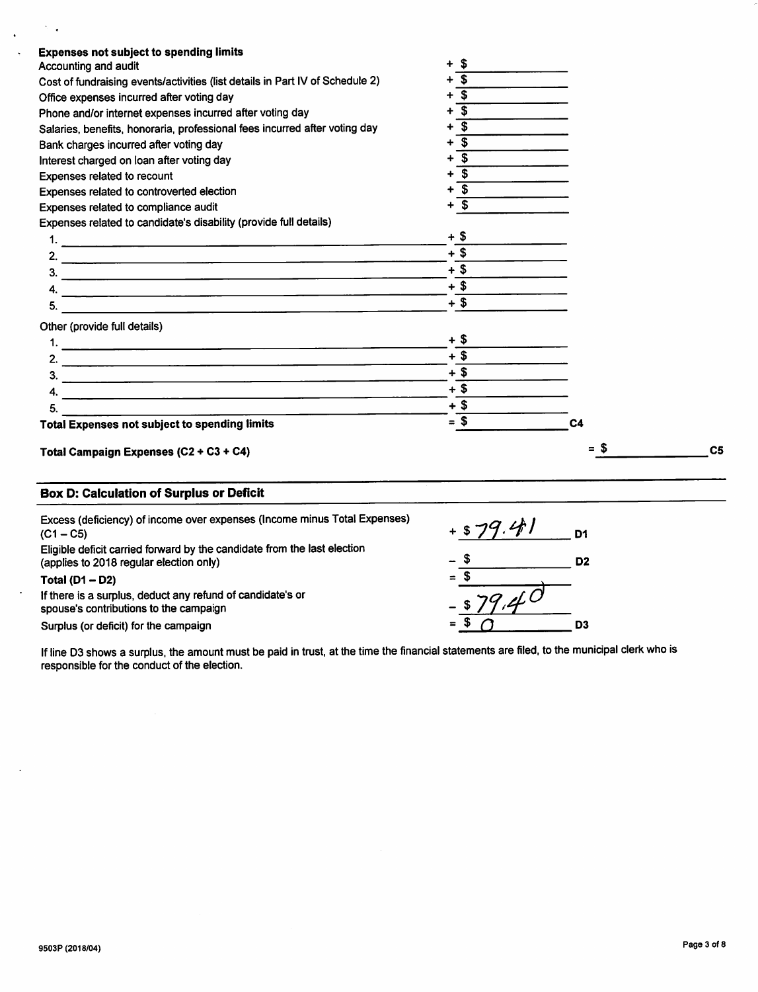| <b>Expenses not subject to spending limits</b>                                |              |                |                |
|-------------------------------------------------------------------------------|--------------|----------------|----------------|
| Accounting and audit                                                          | $+$ \$       |                |                |
| Cost of fundraising events/activities (list details in Part IV of Schedule 2) | \$           |                |                |
| Office expenses incurred after voting day                                     | Ŝ.           |                |                |
| Phone and/or internet expenses incurred after voting day                      | \$           |                |                |
| Salaries, benefits, honoraria, professional fees incurred after voting day    | $\mathbf{s}$ |                |                |
| Bank charges incurred after voting day                                        | \$           |                |                |
| Interest charged on loan after voting day                                     | S.           |                |                |
| Expenses related to recount                                                   | S            |                |                |
| Expenses related to controverted election                                     | \$           |                |                |
| Expenses related to compliance audit                                          | Ŝ.           |                |                |
| Expenses related to candidate's disability (provide full details)             |              |                |                |
|                                                                               | $+$ \$       |                |                |
|                                                                               | $+$ \$       |                |                |
|                                                                               | $+$ \$       |                |                |
|                                                                               | $+$ \$       |                |                |
| 5.                                                                            | $+$ \$       |                |                |
| Other (provide full details)                                                  |              |                |                |
|                                                                               | $+$ \$       |                |                |
|                                                                               | $+$ \$       |                |                |
|                                                                               | $+$ \$       |                |                |
|                                                                               | $+$ \$       |                |                |
| 5.                                                                            | $+$ \$       |                |                |
| <b>Total Expenses not subject to spending limits</b>                          | $= $$        | C <sub>4</sub> |                |
| Total Campaign Expenses (C2 + C3 + C4)                                        |              | $=$ S          | C <sub>5</sub> |

# Box D: Calculation of Surplus or Deficit

 $\sim$   $_{\star}$ 

 $\mathcal{A}^{\mathcal{A}}$  $\mathbb{R}^2$ 

 $\ddot{\phantom{a}}$ 

 $\overline{a}$ 

| Excess (deficiency) of income over expenses (Income minus Total Expenses)<br>$(C1 - C5)$<br>Eligible deficit carried forward by the candidate from the last election<br>(applies to 2018 regular election only) | D <sub>1</sub><br>- 5<br>D <sub>2</sub> |  |
|-----------------------------------------------------------------------------------------------------------------------------------------------------------------------------------------------------------------|-----------------------------------------|--|
| Total $(D1 - D2)$<br>If there is a surplus, deduct any refund of candidate's or<br>spouse's contributions to the campaign<br>Surplus (or deficit) for the campaign                                              | = 3<br>$\overline{f}$<br>D3             |  |

If line 03 shows a surplus, the amount must be paid in trust, at the time the financial statements are filed, to the municipal clerk who is responsible for the conduct of the election.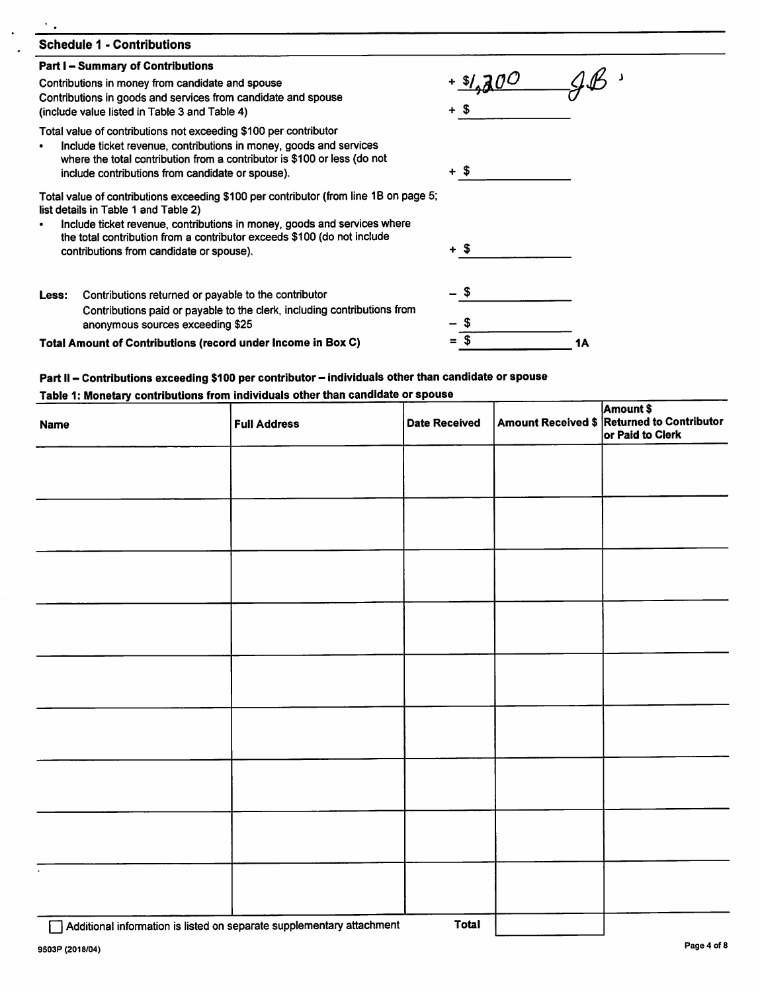| <b>Schedule 1 - Contributions</b>                                                                                                                                                                                                                                                                                                |      |  |  |  |
|----------------------------------------------------------------------------------------------------------------------------------------------------------------------------------------------------------------------------------------------------------------------------------------------------------------------------------|------|--|--|--|
| <b>Part I - Summary of Contributions</b><br>Contributions in money from candidate and spouse<br>Contributions in goods and services from candidate and spouse<br>(include value listed in Table 3 and Table 4)                                                                                                                   | + S  |  |  |  |
| Total value of contributions not exceeding \$100 per contributor<br>Include ticket revenue, contributions in money, goods and services<br>where the total contribution from a contributor is \$100 or less (do not<br>include contributions from candidate or spouse).                                                           | + \$ |  |  |  |
| Total value of contributions exceeding \$100 per contributor (from line 1B on page 5;<br>list details in Table 1 and Table 2)<br>Include ticket revenue, contributions in money, goods and services where<br>the total contribution from a contributor exceeds \$100 (do not include<br>contributions from candidate or spouse). | + \$ |  |  |  |
| Contributions returned or payable to the contributor<br>Less:<br>Contributions paid or payable to the clerk, including contributions from<br>anonymous sources exceeding \$25                                                                                                                                                    | - \$ |  |  |  |
| Total Amount of Contributions (record under Income in Box C)                                                                                                                                                                                                                                                                     |      |  |  |  |

# Part II - Contributions exceeding \$100 per contributor - individuals other than candidate or spouse Table 1: Monetary contributions from individuals other than candidate or spouse

| <b>Name</b> | <b>Full Address</b> | <b>Date Received</b> | Amount Received \$ Returned to Contributor<br>or Paid to Clerk |
|-------------|---------------------|----------------------|----------------------------------------------------------------|
|             |                     |                      |                                                                |
|             |                     |                      |                                                                |
|             |                     |                      |                                                                |
|             |                     |                      |                                                                |
|             |                     |                      |                                                                |
|             |                     |                      |                                                                |
|             |                     |                      |                                                                |
|             |                     |                      |                                                                |
|             |                     |                      |                                                                |
|             |                     |                      |                                                                |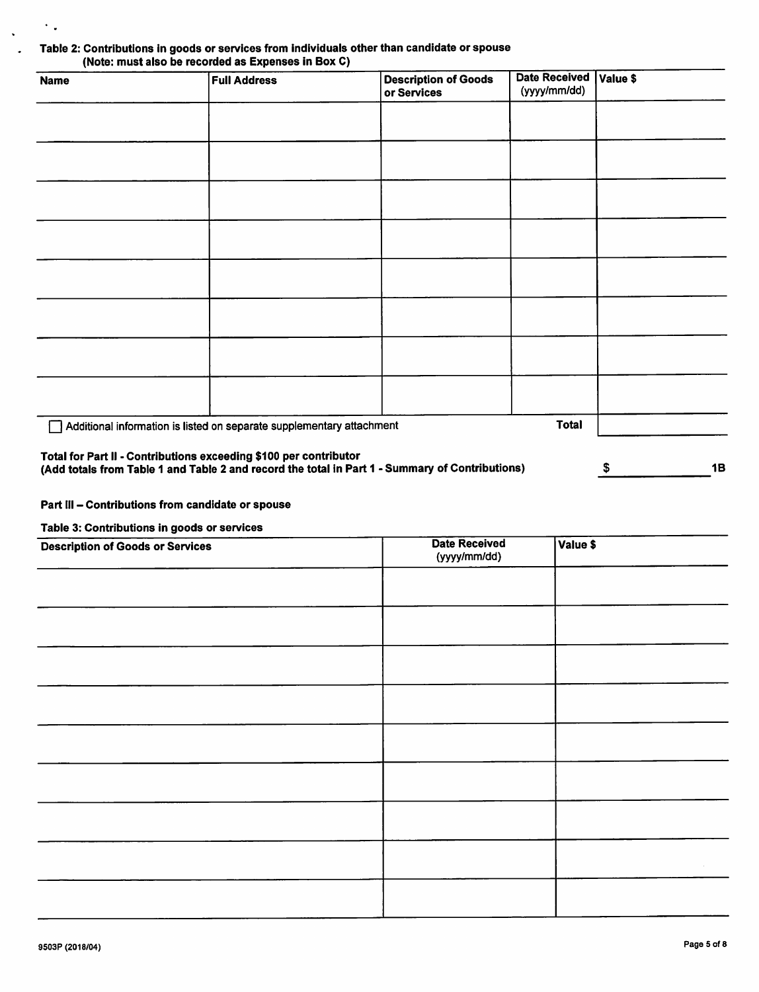## Table 2: Contributions in goods or services from individuals other than candidate or spouse (Note: must also be recorded as Expenses in Box C)

| <b>Name</b>                                                                                                                                                          | <b>Full Address</b>                                                   | <b>Description of Goods</b><br>or Services | <b>Date Received</b><br>(yyyy/mm/dd) | Value \$ |    |
|----------------------------------------------------------------------------------------------------------------------------------------------------------------------|-----------------------------------------------------------------------|--------------------------------------------|--------------------------------------|----------|----|
|                                                                                                                                                                      |                                                                       |                                            |                                      |          |    |
|                                                                                                                                                                      |                                                                       |                                            |                                      |          |    |
|                                                                                                                                                                      |                                                                       |                                            |                                      |          |    |
|                                                                                                                                                                      |                                                                       |                                            |                                      |          |    |
|                                                                                                                                                                      |                                                                       |                                            |                                      |          |    |
|                                                                                                                                                                      |                                                                       |                                            |                                      |          |    |
|                                                                                                                                                                      |                                                                       |                                            |                                      |          |    |
|                                                                                                                                                                      |                                                                       |                                            |                                      |          |    |
|                                                                                                                                                                      | Additional information is listed on separate supplementary attachment |                                            | <b>Total</b>                         |          |    |
| Total for Part II - Contributions exceeding \$100 per contributor<br>(Add totals from Table 1 and Table 2 and record the total in Part 1 - Summary of Contributions) |                                                                       |                                            |                                      | \$       | 1B |

#### Part III - Contributions from candidate or spouse

Table 3: Contributions in goods or services

 $\ddot{\phantom{a}}$  .

l.

| <b>Description of Goods or Services</b> | <b>Date Received</b><br>(yyyy/mm/dd) | Value \$ |
|-----------------------------------------|--------------------------------------|----------|
|                                         |                                      |          |
|                                         |                                      |          |
|                                         |                                      |          |
|                                         |                                      |          |
|                                         |                                      |          |
|                                         |                                      |          |
|                                         |                                      |          |
|                                         |                                      |          |
|                                         |                                      |          |
|                                         |                                      |          |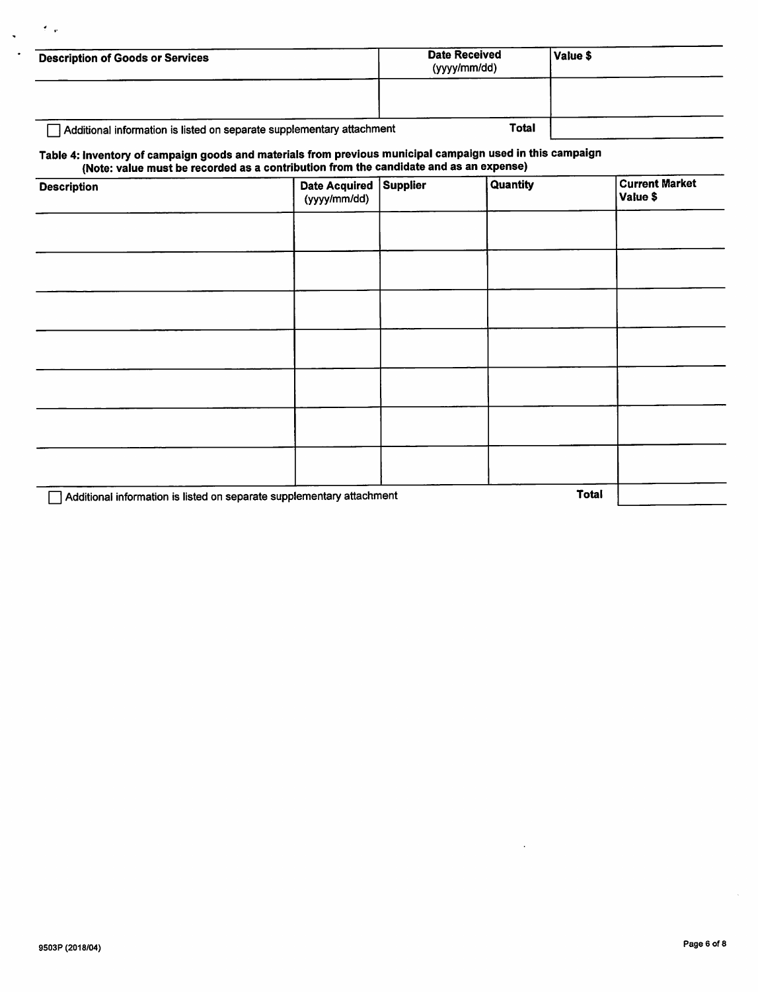| <b>Description of Goods or Services</b>                               | <b>Date Received</b><br>(yyyy/mm/dd) | Value \$ |
|-----------------------------------------------------------------------|--------------------------------------|----------|
|                                                                       |                                      |          |
| Additional information is listed on separate supplementary attachment | <b>Total</b>                         |          |

# Table 4: Inventory of campaign goods and materials from previous municipal campaign used in this campaign<br>(Note: value must be recorded as a contribution from the candidate and as an expense)

| . .<br><b>Description</b>                                             | Date Acquired Supplier<br>(yyyy/mm/dd) | Quantity | <b>Current Market</b><br>Value \$ |
|-----------------------------------------------------------------------|----------------------------------------|----------|-----------------------------------|
|                                                                       |                                        |          |                                   |
|                                                                       |                                        |          |                                   |
|                                                                       |                                        |          |                                   |
|                                                                       |                                        |          |                                   |
|                                                                       |                                        |          |                                   |
|                                                                       |                                        |          |                                   |
|                                                                       |                                        |          |                                   |
| Additional information is listed on separate supplementary attachment |                                        |          |                                   |

 $\bullet$  $\ddot{\phantom{0}}$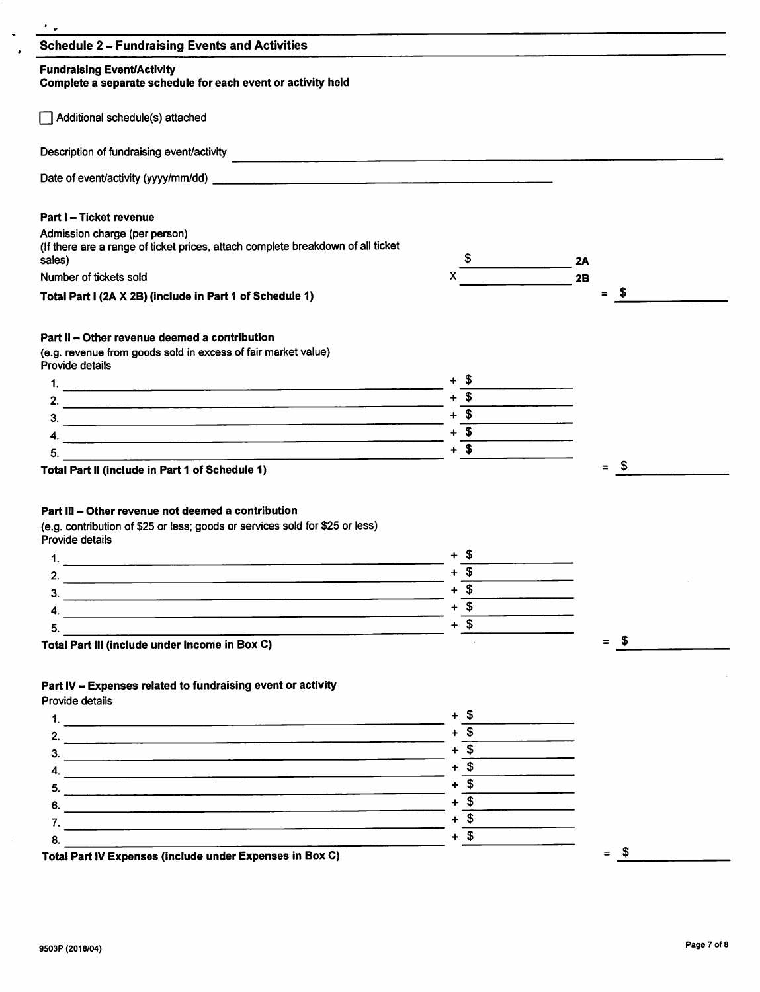| <b>Schedule 2 - Fundraising Events and Activities</b>                                                                                                                    |                               |                                |  |
|--------------------------------------------------------------------------------------------------------------------------------------------------------------------------|-------------------------------|--------------------------------|--|
| <b>Fundraising Event/Activity</b><br>Complete a separate schedule for each event or activity held                                                                        |                               |                                |  |
| Additional schedule(s) attached                                                                                                                                          |                               |                                |  |
| Description of fundraising event/activity                                                                                                                                |                               |                                |  |
|                                                                                                                                                                          |                               |                                |  |
| <b>Part I-Ticket revenue</b>                                                                                                                                             |                               |                                |  |
| Admission charge (per person)<br>(If there are a range of ticket prices, attach complete breakdown of all ticket<br>sales)                                               | $\overline{\phantom{a}}$      | 2A                             |  |
| Number of tickets sold                                                                                                                                                   |                               | 2B                             |  |
| Total Part I (2A X 2B) (include in Part 1 of Schedule 1)                                                                                                                 |                               | - \$<br>$\equiv$               |  |
| Part II - Other revenue deemed a contribution                                                                                                                            |                               |                                |  |
| (e.g. revenue from goods sold in excess of fair market value)<br>Provide details                                                                                         |                               |                                |  |
|                                                                                                                                                                          |                               |                                |  |
|                                                                                                                                                                          | $+$ \$                        |                                |  |
|                                                                                                                                                                          | $+\frac{1}{2}$                |                                |  |
|                                                                                                                                                                          | $+\overline{\text{S}}$        |                                |  |
|                                                                                                                                                                          |                               |                                |  |
| 5.                                                                                                                                                                       | $+$ \$                        |                                |  |
| <u> 1980 - Johann John Stein, marwolaeth a bhaile an t-Amhainn an t-Amhainn an t-Amhainn an t-Amhainn an t-Amhain</u><br>Total Part II (include in Part 1 of Schedule 1) |                               | $\mathbf{s}$<br>$\blacksquare$ |  |
|                                                                                                                                                                          |                               |                                |  |
|                                                                                                                                                                          |                               |                                |  |
| Part III – Other revenue not deemed a contribution                                                                                                                       |                               |                                |  |
| (e.g. contribution of \$25 or less; goods or services sold for \$25 or less)<br>Provide details                                                                          |                               |                                |  |
|                                                                                                                                                                          |                               |                                |  |
| <u> 1980 - Jan James James James James James James James James James James James James James James James James J</u>                                                     | $\boldsymbol{\mathsf{s}}$     |                                |  |
| 2.                                                                                                                                                                       | $+\overline{\mathbf{3}}$      |                                |  |
|                                                                                                                                                                          | $+$ \$                        |                                |  |
|                                                                                                                                                                          |                               |                                |  |
| 5.<br>the contract of the contract of the contract of the contract of the contract of<br>Total Part III (include under Income in Box C)                                  | $+$ \$                        | $=$ \$                         |  |
|                                                                                                                                                                          |                               |                                |  |
| Part IV - Expenses related to fundraising event or activity                                                                                                              |                               |                                |  |
| Provide details                                                                                                                                                          |                               |                                |  |
|                                                                                                                                                                          | + \$                          |                                |  |
|                                                                                                                                                                          |                               |                                |  |
|                                                                                                                                                                          | $+\overline{\$}$              |                                |  |
|                                                                                                                                                                          | $+ 5$                         |                                |  |
| 5.                                                                                                                                                                       | $+\overline{\$}$              |                                |  |
| $\overline{6}$ .                                                                                                                                                         | $+$ $\overline{\$}$           |                                |  |
|                                                                                                                                                                          | $+\overline{\mathsf{S}_{\_}}$ |                                |  |
| Total Part IV Expenses (include under Expenses in Box C)                                                                                                                 | $+$ \$                        | - \$<br>$\equiv$               |  |